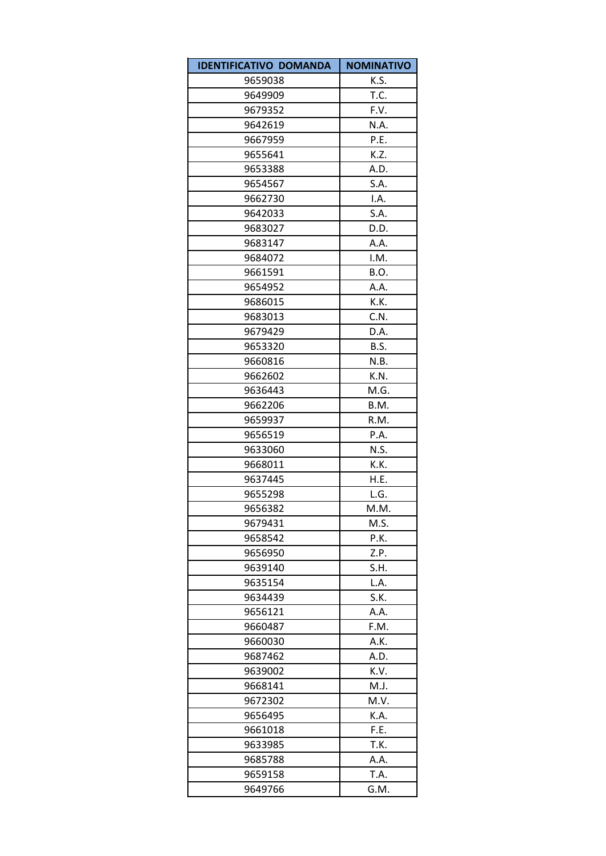| <b>IDENTIFICATIVO DOMANDA</b> | <b>NOMINATIVO</b> |
|-------------------------------|-------------------|
| 9659038                       | K.S.              |
| 9649909                       | T.C.              |
| 9679352                       | F.V.              |
| 9642619                       | N.A.              |
| 9667959                       | P.E.              |
| 9655641                       | K.Z.              |
| 9653388                       | A.D.              |
| 9654567                       | S.A.              |
| 9662730                       | I.A.              |
| 9642033                       | S.A.              |
| 9683027                       | D.D.              |
| 9683147                       | A.A.              |
| 9684072                       | I.M.              |
| 9661591                       | B.O.              |
| 9654952                       | A.A.              |
| 9686015                       | K.K.              |
| 9683013                       | C.N.              |
| 9679429                       | D.A.              |
| 9653320                       | B.S.              |
| 9660816                       | N.B.              |
| 9662602                       | K.N.              |
| 9636443                       | M.G.              |
| 9662206                       | B.M.              |
| 9659937                       | R.M.              |
| 9656519                       | P.A.              |
| 9633060                       | N.S.              |
| 9668011                       | K.K.              |
| 9637445                       | H.E.              |
| 9655298                       | L.G.              |
| 9656382                       | M.M.              |
| 9679431                       | M.S.              |
| 9658542                       | P.K.              |
| 9656950                       | Z.P.              |
| 9639140                       | S.H.              |
| 9635154                       | L.A.              |
| 9634439                       | S.K.              |
| 9656121                       | A.A.              |
| 9660487                       | F.M.              |
| 9660030                       | A.K.              |
| 9687462                       | A.D.              |
| 9639002                       | K.V.              |
| 9668141                       | M.J.              |
| 9672302                       | M.V.              |
| 9656495                       | K.A.              |
| 9661018                       | F.E.              |
| 9633985                       | T.K.              |
| 9685788                       | A.A.              |
| 9659158<br>9649766            | T.A.<br>G.M.      |
|                               |                   |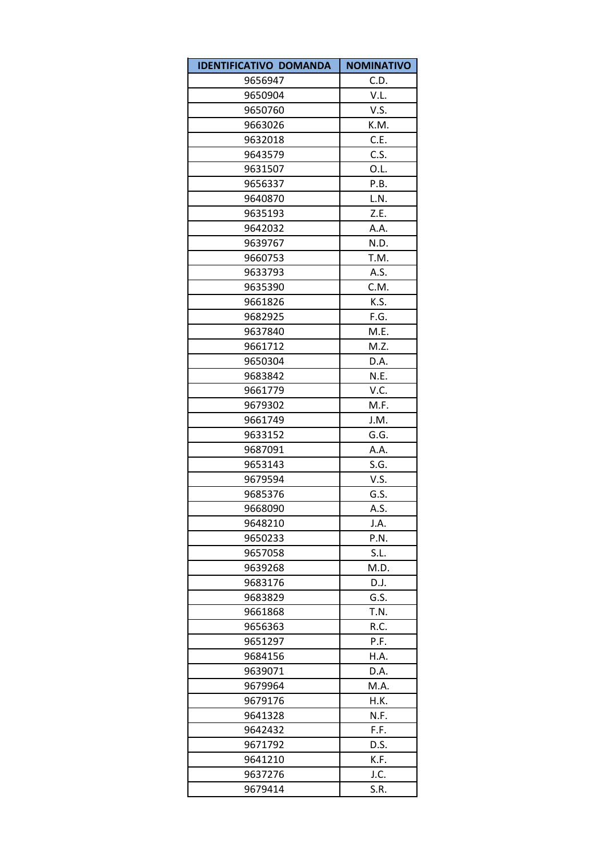| <b>IDENTIFICATIVO DOMANDA</b> | <b>NOMINATIVO</b> |
|-------------------------------|-------------------|
| 9656947                       | C.D.              |
| 9650904                       | V.L.              |
| 9650760                       | V.S.              |
| 9663026                       | K.M.              |
| 9632018                       | C.E.              |
| 9643579                       | C.S.              |
| 9631507                       | O.L.              |
| 9656337                       | P.B.              |
| 9640870                       | L.N.              |
| 9635193                       | Z.E.              |
| 9642032                       | A.A.              |
| 9639767                       | N.D.              |
| 9660753                       | T.M.              |
| 9633793                       | A.S.              |
| 9635390                       | C.M.              |
| 9661826                       | K.S.              |
| 9682925                       | F.G.              |
| 9637840                       | M.E.              |
| 9661712                       | M.Z.              |
| 9650304                       | D.A.              |
| 9683842                       | N.E.              |
| 9661779                       | V.C.              |
| 9679302                       | M.F.              |
| 9661749                       | J.M.              |
| 9633152                       | G.G.              |
| 9687091                       | A.A.              |
| 9653143                       | S.G.              |
| 9679594                       | V.S.              |
| 9685376                       | G.S.              |
| 9668090                       | A.S.              |
| 9648210                       | J.A.              |
| 9650233                       | P.N.              |
| 9657058                       | S.L.              |
| 9639268                       | M.D.              |
| 9683176                       | D.J.              |
| 9683829                       | G.S.              |
| 9661868                       | T.N.              |
| 9656363                       | R.C.              |
| 9651297                       | P.F.              |
| 9684156                       | H.A.              |
| 9639071                       | D.A.              |
| 9679964                       | M.A.              |
| 9679176                       | H.K.              |
| 9641328                       | N.F.              |
| 9642432                       | F.F.              |
| 9671792                       | D.S.              |
| 9641210                       | K.F.              |
| 9637276                       | J.C.              |
| 9679414                       | S.R.              |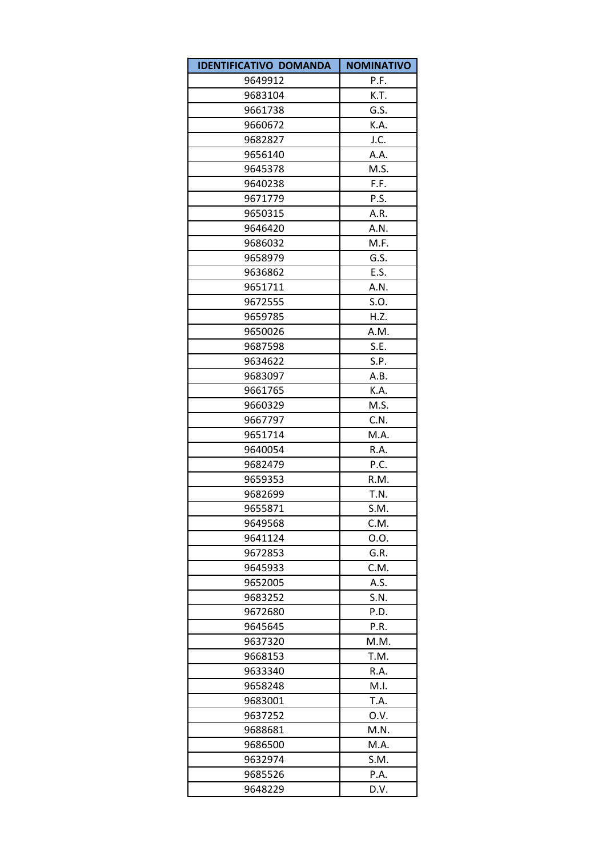| <b>IDENTIFICATIVO DOMANDA</b> | <b>NOMINATIVO</b> |
|-------------------------------|-------------------|
| 9649912                       | P.F.              |
| 9683104                       | K.T.              |
| 9661738                       | G.S.              |
| 9660672                       | K.A.              |
| 9682827                       | J.C.              |
| 9656140                       | A.A.              |
| 9645378                       | M.S.              |
| 9640238                       | F.F.              |
| 9671779                       | P.S.              |
| 9650315                       | A.R.              |
| 9646420                       | A.N.              |
| 9686032                       | M.F.              |
| 9658979                       | G.S.              |
| 9636862                       | E.S.              |
| 9651711                       | A.N.              |
| 9672555                       | S.O.              |
| 9659785                       | H.Z.              |
| 9650026                       | A.M.              |
| 9687598                       | S.E.              |
| 9634622                       | S.P.              |
| 9683097                       | A.B.              |
| 9661765                       | K.A.              |
| 9660329                       | M.S.              |
| 9667797                       | C.N.              |
| 9651714                       | M.A.              |
| 9640054                       | R.A.              |
| 9682479                       | P.C.              |
| 9659353                       | R.M.              |
| 9682699                       | T.N.              |
| 9655871                       | S.M.              |
| 9649568                       | C.M.              |
| 9641124                       | 0.0.              |
| 9672853                       | G.R.              |
| 9645933                       | C.M.              |
| 9652005                       | A.S.              |
| 9683252                       | S.N.              |
| 9672680                       | P.D.              |
| 9645645                       | P.R.              |
| 9637320                       | M.M.              |
| 9668153                       | T.M.              |
| 9633340                       | R.A.              |
| 9658248                       | M.I.              |
| 9683001                       | T.A.              |
| 9637252                       | O.V.              |
| 9688681                       | M.N.              |
| 9686500                       | M.A.              |
| 9632974                       | S.M.              |
| 9685526                       | P.A.              |
| 9648229                       | D.V.              |